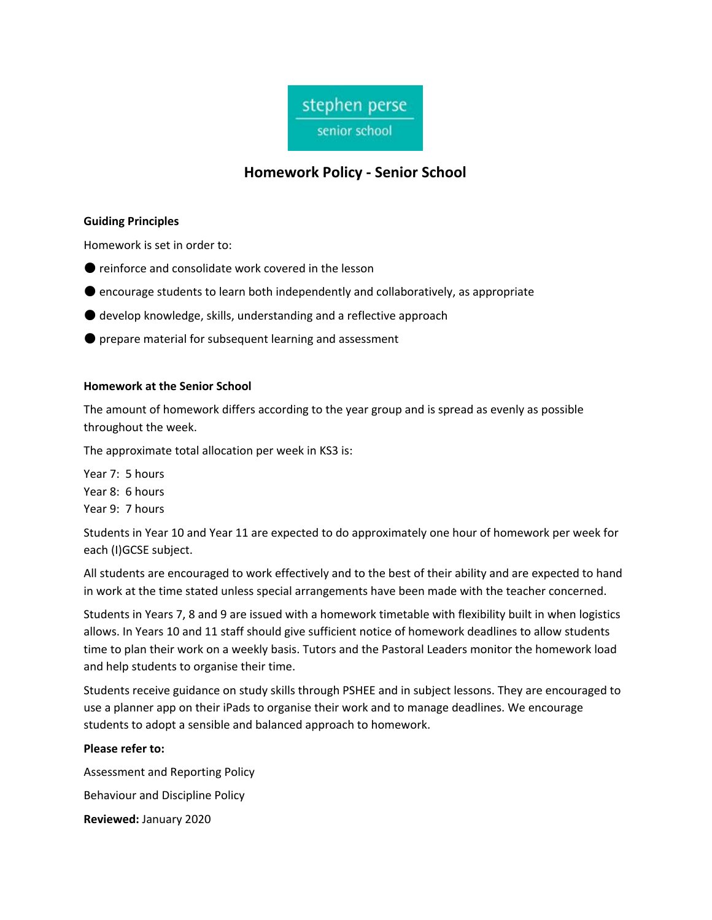

# **Homework Policy - Senior School**

#### **Guiding Principles**

Homework is set in order to:

- reinforce and consolidate work covered in the lesson
- encourage students to learn both independently and collaboratively, as appropriate
- $\bullet$  develop knowledge, skills, understanding and a reflective approach
- prepare material for subsequent learning and assessment

## **Homework at the Senior School**

The amount of homework differs according to the year group and is spread as evenly as possible throughout the week.

The approximate total allocation per week in KS3 is:

Year 7: 5 hours Year 8: 6 hours Year 9: 7 hours

Students in Year 10 and Year 11 are expected to do approximately one hour of homework per week for each (I)GCSE subject.

All students are encouraged to work effectively and to the best of their ability and are expected to hand in work at the time stated unless special arrangements have been made with the teacher concerned.

Students in Years 7, 8 and 9 are issued with a homework timetable with flexibility built in when logistics allows. In Years 10 and 11 staff should give sufficient notice of homework deadlines to allow students time to plan their work on a weekly basis. Tutors and the Pastoral Leaders monitor the homework load and help students to organise their time.

Students receive guidance on study skills through PSHEE and in subject lessons. They are encouraged to use a planner app on their iPads to organise their work and to manage deadlines. We encourage students to adopt a sensible and balanced approach to homework.

## **Please refer to:**

Assessment and Reporting Policy Behaviour and Discipline Policy **Reviewed:** January 2020